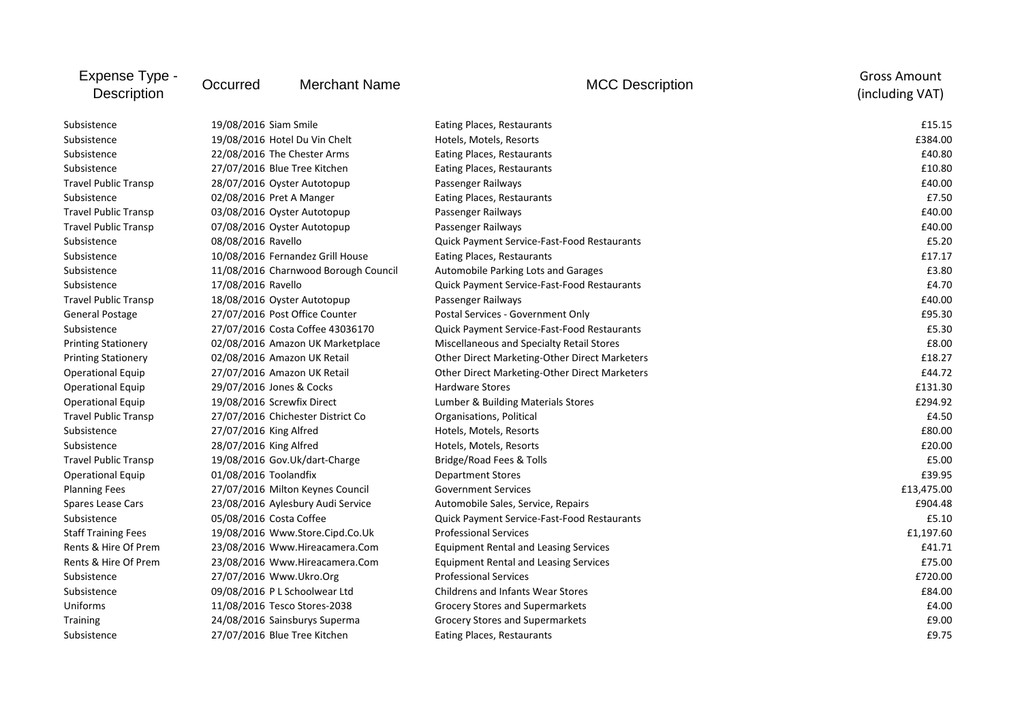| Expense Type -<br><b>Description</b> | Occurred                       | <b>Merchant Name</b>                 | <b>MCC Description</b>                             | <b>Gross Amount</b><br>(including VAT) |
|--------------------------------------|--------------------------------|--------------------------------------|----------------------------------------------------|----------------------------------------|
| Subsistence                          | 19/08/2016 Siam Smile          |                                      | Eating Places, Restaurants                         | £15.15                                 |
| Subsistence                          |                                | 19/08/2016 Hotel Du Vin Chelt        | Hotels, Motels, Resorts                            | £384.00                                |
| Subsistence                          | 22/08/2016 The Chester Arms    |                                      | <b>Eating Places, Restaurants</b>                  | £40.80                                 |
| Subsistence                          |                                | 27/07/2016 Blue Tree Kitchen         | Eating Places, Restaurants                         | £10.80                                 |
| <b>Travel Public Transp</b>          |                                | 28/07/2016 Oyster Autotopup          | Passenger Railways                                 | £40.00                                 |
| Subsistence                          | 02/08/2016 Pret A Manger       |                                      | Eating Places, Restaurants                         | £7.50                                  |
| <b>Travel Public Transp</b>          |                                | 03/08/2016 Oyster Autotopup          | Passenger Railways                                 | £40.00                                 |
| <b>Travel Public Transp</b>          |                                | 07/08/2016 Oyster Autotopup          | Passenger Railways                                 | £40.00                                 |
| Subsistence                          | 08/08/2016 Ravello             |                                      | Quick Payment Service-Fast-Food Restaurants        | £5.20                                  |
| Subsistence                          |                                | 10/08/2016 Fernandez Grill House     | Eating Places, Restaurants                         | £17.17                                 |
| Subsistence                          |                                | 11/08/2016 Charnwood Borough Council | Automobile Parking Lots and Garages                | £3.80                                  |
| Subsistence                          | 17/08/2016 Ravello             |                                      | Quick Payment Service-Fast-Food Restaurants        | £4.70                                  |
| <b>Travel Public Transp</b>          |                                | 18/08/2016 Oyster Autotopup          | Passenger Railways                                 | £40.00                                 |
| <b>General Postage</b>               |                                | 27/07/2016 Post Office Counter       | Postal Services - Government Only                  | £95.30                                 |
| Subsistence                          |                                | 27/07/2016 Costa Coffee 43036170     | Quick Payment Service-Fast-Food Restaurants        | £5.30                                  |
| <b>Printing Stationery</b>           |                                | 02/08/2016 Amazon UK Marketplace     | Miscellaneous and Specialty Retail Stores          | £8.00                                  |
| <b>Printing Stationery</b>           |                                | 02/08/2016 Amazon UK Retail          | Other Direct Marketing-Other Direct Marketers      | £18.27                                 |
| <b>Operational Equip</b>             |                                | 27/07/2016 Amazon UK Retail          | Other Direct Marketing-Other Direct Marketers      | £44.72                                 |
| <b>Operational Equip</b>             | 29/07/2016 Jones & Cocks       |                                      | <b>Hardware Stores</b>                             | £131.30                                |
| <b>Operational Equip</b>             | 19/08/2016 Screwfix Direct     |                                      | Lumber & Building Materials Stores                 | £294.92                                |
| <b>Travel Public Transp</b>          |                                | 27/07/2016 Chichester District Co    | Organisations, Political                           | £4.50                                  |
| Subsistence                          | 27/07/2016 King Alfred         |                                      | Hotels, Motels, Resorts                            | £80.00                                 |
| Subsistence                          | 28/07/2016 King Alfred         |                                      | Hotels, Motels, Resorts                            | £20.00                                 |
| <b>Travel Public Transp</b>          |                                | 19/08/2016 Gov.Uk/dart-Charge        | Bridge/Road Fees & Tolls                           | £5.00                                  |
| <b>Operational Equip</b>             | 01/08/2016 Toolandfix          |                                      | <b>Department Stores</b>                           | £39.95                                 |
| <b>Planning Fees</b>                 |                                | 27/07/2016 Milton Keynes Council     | <b>Government Services</b>                         | £13,475.00                             |
| Spares Lease Cars                    |                                | 23/08/2016 Aylesbury Audi Service    | Automobile Sales, Service, Repairs                 | £904.48                                |
| Subsistence                          | 05/08/2016 Costa Coffee        |                                      | <b>Quick Payment Service-Fast-Food Restaurants</b> | £5.10                                  |
| <b>Staff Training Fees</b>           |                                | 19/08/2016 Www.Store.Cipd.Co.Uk      | <b>Professional Services</b>                       | £1,197.60                              |
| Rents & Hire Of Prem                 |                                | 23/08/2016 Www.Hireacamera.Com       | <b>Equipment Rental and Leasing Services</b>       | £41.71                                 |
| Rents & Hire Of Prem                 | 23/08/2016 Www.Hireacamera.Com |                                      | <b>Equipment Rental and Leasing Services</b>       | £75.00                                 |
| Subsistence                          | 27/07/2016 Www.Ukro.Org        |                                      | <b>Professional Services</b>                       | £720.00                                |
| Subsistence                          | 09/08/2016 P L Schoolwear Ltd  |                                      | Childrens and Infants Wear Stores                  | £84.00                                 |
| Uniforms                             |                                | 11/08/2016 Tesco Stores-2038         | Grocery Stores and Supermarkets                    | £4.00                                  |
| <b>Training</b>                      | 24/08/2016 Sainsburys Superma  |                                      | Grocery Stores and Supermarkets                    | £9.00                                  |
| Subsistence                          |                                | 27/07/2016 Blue Tree Kitchen         | <b>Eating Places, Restaurants</b>                  | £9.75                                  |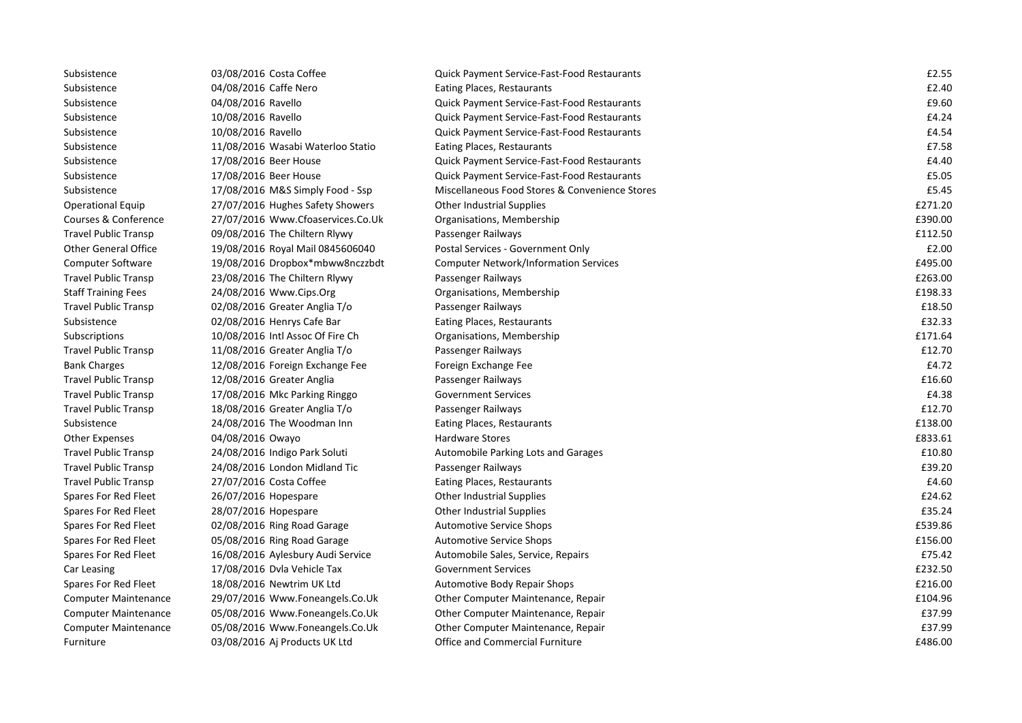| Subsistence                 | 03/08/2016 Costa Coffee           | <b>Quick Payment Service-Fast-Food Restaurants</b> | £2.55   |
|-----------------------------|-----------------------------------|----------------------------------------------------|---------|
| Subsistence                 | 04/08/2016 Caffe Nero             | Eating Places, Restaurants                         | £2.40   |
| Subsistence                 | 04/08/2016 Ravello                | Quick Payment Service-Fast-Food Restaurants        | £9.60   |
| Subsistence                 | 10/08/2016 Ravello                | Quick Payment Service-Fast-Food Restaurants        | £4.24   |
| Subsistence                 | 10/08/2016 Ravello                | <b>Quick Payment Service-Fast-Food Restaurants</b> | £4.54   |
| Subsistence                 | 11/08/2016 Wasabi Waterloo Statio | Eating Places, Restaurants                         | £7.58   |
| Subsistence                 | 17/08/2016 Beer House             | Quick Payment Service-Fast-Food Restaurants        | £4.40   |
| Subsistence                 | 17/08/2016 Beer House             | <b>Quick Payment Service-Fast-Food Restaurants</b> | £5.05   |
| Subsistence                 | 17/08/2016 M&S Simply Food - Ssp  | Miscellaneous Food Stores & Convenience Stores     | £5.45   |
| <b>Operational Equip</b>    | 27/07/2016 Hughes Safety Showers  | <b>Other Industrial Supplies</b>                   | £271.20 |
| Courses & Conference        | 27/07/2016 Www.Cfoaservices.Co.Uk | Organisations, Membership                          | £390.00 |
| <b>Travel Public Transp</b> | 09/08/2016 The Chiltern Rlywy     | Passenger Railways                                 | £112.50 |
| <b>Other General Office</b> | 19/08/2016 Royal Mail 0845606040  | Postal Services - Government Only                  | £2.00   |
| <b>Computer Software</b>    | 19/08/2016 Dropbox*mbww8nczzbdt   | <b>Computer Network/Information Services</b>       | £495.00 |
| <b>Travel Public Transp</b> | 23/08/2016 The Chiltern Rlywy     | Passenger Railways                                 | £263.00 |
| <b>Staff Training Fees</b>  | 24/08/2016 Www.Cips.Org           | Organisations, Membership                          | £198.33 |
| <b>Travel Public Transp</b> | 02/08/2016 Greater Anglia T/o     | Passenger Railways                                 | £18.50  |
| Subsistence                 | 02/08/2016 Henrys Cafe Bar        | Eating Places, Restaurants                         | £32.33  |
| Subscriptions               | 10/08/2016 Intl Assoc Of Fire Ch  | Organisations, Membership                          | £171.64 |
| <b>Travel Public Transp</b> | 11/08/2016 Greater Anglia T/o     | Passenger Railways                                 | £12.70  |
| <b>Bank Charges</b>         | 12/08/2016 Foreign Exchange Fee   | Foreign Exchange Fee                               | £4.72   |
| <b>Travel Public Transp</b> | 12/08/2016 Greater Anglia         | Passenger Railways                                 | £16.60  |
| <b>Travel Public Transp</b> | 17/08/2016 Mkc Parking Ringgo     | <b>Government Services</b>                         | £4.38   |
| <b>Travel Public Transp</b> | 18/08/2016 Greater Anglia T/o     | Passenger Railways                                 | £12.70  |
| Subsistence                 | 24/08/2016 The Woodman Inn        | Eating Places, Restaurants                         | £138.00 |
| <b>Other Expenses</b>       | 04/08/2016 Owayo                  | Hardware Stores                                    | £833.61 |
| Travel Public Transp        | 24/08/2016 Indigo Park Soluti     | Automobile Parking Lots and Garages                | £10.80  |
| <b>Travel Public Transp</b> | 24/08/2016 London Midland Tic     | Passenger Railways                                 | £39.20  |
| <b>Travel Public Transp</b> | 27/07/2016 Costa Coffee           | Eating Places, Restaurants                         | £4.60   |
| Spares For Red Fleet        | 26/07/2016 Hopespare              | <b>Other Industrial Supplies</b>                   | £24.62  |
| Spares For Red Fleet        | 28/07/2016 Hopespare              | <b>Other Industrial Supplies</b>                   | £35.24  |
| Spares For Red Fleet        | 02/08/2016 Ring Road Garage       | <b>Automotive Service Shops</b>                    | £539.86 |
| Spares For Red Fleet        | 05/08/2016 Ring Road Garage       | <b>Automotive Service Shops</b>                    | £156.00 |
| Spares For Red Fleet        | 16/08/2016 Aylesbury Audi Service | Automobile Sales, Service, Repairs                 | £75.42  |
| Car Leasing                 | 17/08/2016 Dyla Vehicle Tax       | <b>Government Services</b>                         | £232.50 |
| Spares For Red Fleet        | 18/08/2016 Newtrim UK Ltd         | <b>Automotive Body Repair Shops</b>                | £216.00 |
| <b>Computer Maintenance</b> | 29/07/2016 Www.Foneangels.Co.Uk   | Other Computer Maintenance, Repair                 | £104.96 |
| <b>Computer Maintenance</b> | 05/08/2016 Www.Foneangels.Co.Uk   | Other Computer Maintenance, Repair                 | £37.99  |
| <b>Computer Maintenance</b> | 05/08/2016 Www.Foneangels.Co.Uk   | Other Computer Maintenance, Repair                 | £37.99  |
| Furniture                   | 03/08/2016 Aj Products UK Ltd     | <b>Office and Commercial Furniture</b>             | £486.00 |
|                             |                                   |                                                    |         |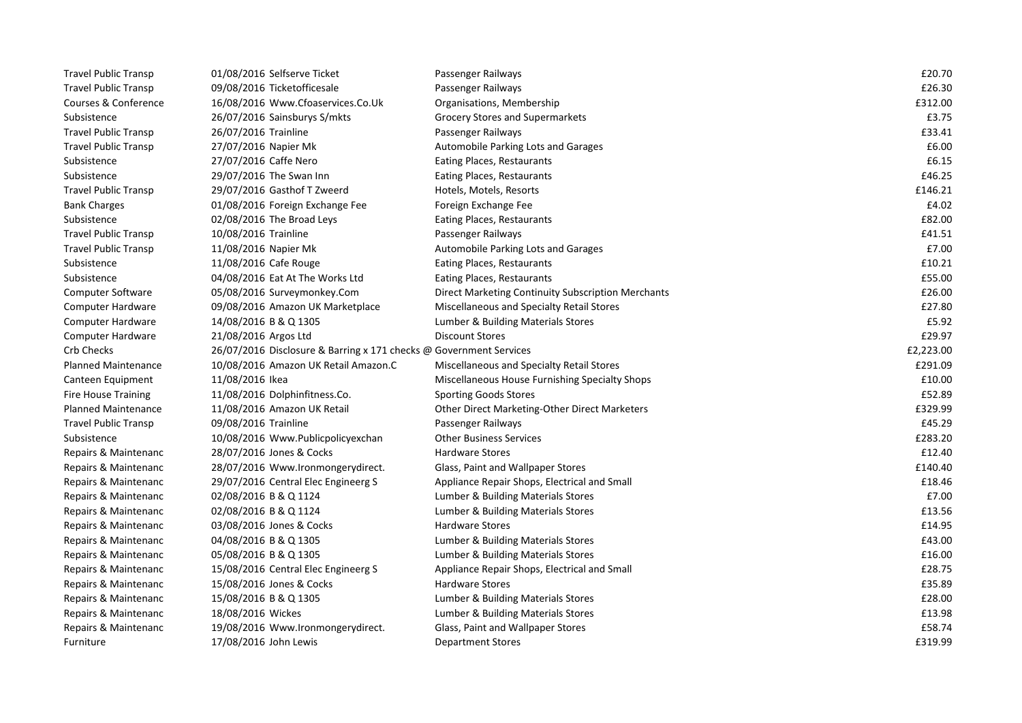| <b>Travel Public Transp</b> | 01/08/2016 Selfserve Ticket                                        | Passenger Railways                                 | £20.70    |
|-----------------------------|--------------------------------------------------------------------|----------------------------------------------------|-----------|
| <b>Travel Public Transp</b> | 09/08/2016 Ticketofficesale                                        | Passenger Railways                                 | £26.30    |
| Courses & Conference        | 16/08/2016 Www.Cfoaservices.Co.Uk                                  | Organisations, Membership                          | £312.00   |
| Subsistence                 | 26/07/2016 Sainsburys S/mkts                                       | Grocery Stores and Supermarkets                    | £3.75     |
| <b>Travel Public Transp</b> | 26/07/2016 Trainline                                               | Passenger Railways                                 | £33.41    |
| <b>Travel Public Transp</b> | 27/07/2016 Napier Mk                                               | <b>Automobile Parking Lots and Garages</b>         | £6.00     |
| Subsistence                 | 27/07/2016 Caffe Nero                                              | Eating Places, Restaurants                         | £6.15     |
| Subsistence                 | 29/07/2016 The Swan Inn                                            | Eating Places, Restaurants                         | £46.25    |
| <b>Travel Public Transp</b> | 29/07/2016 Gasthof T Zweerd                                        | Hotels, Motels, Resorts                            | £146.21   |
| <b>Bank Charges</b>         | 01/08/2016 Foreign Exchange Fee                                    | Foreign Exchange Fee                               | £4.02     |
| Subsistence                 | 02/08/2016 The Broad Leys                                          | Eating Places, Restaurants                         | £82.00    |
| <b>Travel Public Transp</b> | 10/08/2016 Trainline                                               | Passenger Railways                                 | £41.51    |
| <b>Travel Public Transp</b> | 11/08/2016 Napier Mk                                               | Automobile Parking Lots and Garages                | £7.00     |
| Subsistence                 | 11/08/2016 Cafe Rouge                                              | Eating Places, Restaurants                         | £10.21    |
| Subsistence                 | 04/08/2016 Eat At The Works Ltd                                    | Eating Places, Restaurants                         | £55.00    |
| Computer Software           | 05/08/2016 Surveymonkey.Com                                        | Direct Marketing Continuity Subscription Merchants | £26.00    |
| Computer Hardware           | 09/08/2016 Amazon UK Marketplace                                   | Miscellaneous and Specialty Retail Stores          | £27.80    |
| Computer Hardware           | 14/08/2016 B & Q 1305                                              | Lumber & Building Materials Stores                 | £5.92     |
| Computer Hardware           | 21/08/2016 Argos Ltd                                               | <b>Discount Stores</b>                             | £29.97    |
| Crb Checks                  | 26/07/2016 Disclosure & Barring x 171 checks @ Government Services |                                                    | £2,223.00 |
| <b>Planned Maintenance</b>  | 10/08/2016 Amazon UK Retail Amazon.C                               | Miscellaneous and Specialty Retail Stores          | £291.09   |
| Canteen Equipment           | 11/08/2016 Ikea                                                    | Miscellaneous House Furnishing Specialty Shops     | £10.00    |
| <b>Fire House Training</b>  | 11/08/2016 Dolphinfitness.Co.                                      | <b>Sporting Goods Stores</b>                       | £52.89    |
| <b>Planned Maintenance</b>  | 11/08/2016 Amazon UK Retail                                        | Other Direct Marketing-Other Direct Marketers      | £329.99   |
| <b>Travel Public Transp</b> | 09/08/2016 Trainline                                               | Passenger Railways                                 | £45.29    |
| Subsistence                 | 10/08/2016 Www.Publicpolicyexchan                                  | <b>Other Business Services</b>                     | £283.20   |
| Repairs & Maintenanc        | 28/07/2016 Jones & Cocks                                           | <b>Hardware Stores</b>                             | £12.40    |
| Repairs & Maintenanc        | 28/07/2016 Www.Ironmongerydirect.                                  | Glass, Paint and Wallpaper Stores                  | £140.40   |
| Repairs & Maintenanc        | 29/07/2016 Central Elec Engineerg S                                | Appliance Repair Shops, Electrical and Small       | £18.46    |
| Repairs & Maintenanc        | 02/08/2016 B & Q 1124                                              | Lumber & Building Materials Stores                 | £7.00     |
| Repairs & Maintenanc        | 02/08/2016 B & Q 1124                                              | Lumber & Building Materials Stores                 | £13.56    |
| Repairs & Maintenanc        | 03/08/2016 Jones & Cocks                                           | <b>Hardware Stores</b>                             | £14.95    |
| Repairs & Maintenanc        | 04/08/2016 B & Q 1305                                              | Lumber & Building Materials Stores                 | £43.00    |
| Repairs & Maintenanc        | 05/08/2016 B & Q 1305                                              | Lumber & Building Materials Stores                 | £16.00    |
| Repairs & Maintenanc        | 15/08/2016 Central Elec Engineerg S                                | Appliance Repair Shops, Electrical and Small       | £28.75    |
| Repairs & Maintenanc        | 15/08/2016 Jones & Cocks                                           | <b>Hardware Stores</b>                             | £35.89    |
| Repairs & Maintenanc        | 15/08/2016 B & Q 1305                                              | Lumber & Building Materials Stores                 | £28.00    |
| Repairs & Maintenanc        | 18/08/2016 Wickes                                                  | Lumber & Building Materials Stores                 | £13.98    |
| Repairs & Maintenanc        | 19/08/2016 Www.Ironmongerydirect.                                  | Glass, Paint and Wallpaper Stores                  | £58.74    |
| Furniture                   | 17/08/2016 John Lewis                                              | <b>Department Stores</b>                           | £319.99   |